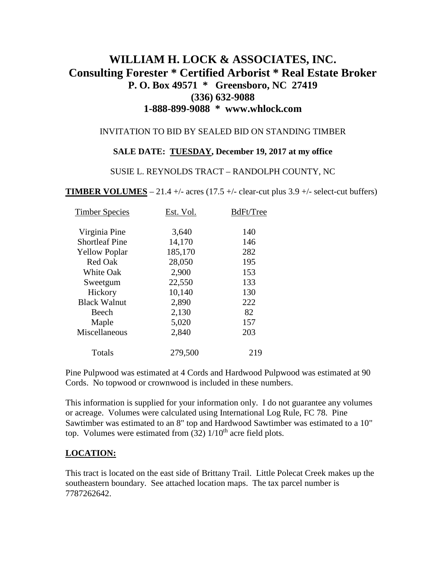# **WILLIAM H. LOCK & ASSOCIATES, INC. Consulting Forester \* Certified Arborist \* Real Estate Broker P. O. Box 49571 \* Greensboro, NC 27419 (336) 632-9088 1-888-899-9088 \* www.whlock.com**

### INVITATION TO BID BY SEALED BID ON STANDING TIMBER

#### **SALE DATE: TUESDAY, December 19, 2017 at my office**

#### SUSIE L. REYNOLDS TRACT – RANDOLPH COUNTY, NC

**TIMBER VOLUMES** – 21.4 +/- acres (17.5 +/- clear-cut plus  $3.9 +$ /- select-cut buffers)

| Est. Vol. | BdFt/Tree |
|-----------|-----------|
| 3,640     | 140       |
| 14,170    | 146       |
| 185,170   | 282       |
| 28,050    | 195       |
| 2,900     | 153       |
| 22,550    | 133       |
| 10,140    | 130       |
| 2,890     | 222       |
| 2,130     | 82        |
| 5,020     | 157       |
| 2,840     | 203       |
| 279,500   | 219       |
|           |           |

Pine Pulpwood was estimated at 4 Cords and Hardwood Pulpwood was estimated at 90 Cords. No topwood or crownwood is included in these numbers.

This information is supplied for your information only. I do not guarantee any volumes or acreage. Volumes were calculated using International Log Rule, FC 78. Pine Sawtimber was estimated to an 8" top and Hardwood Sawtimber was estimated to a 10" top. Volumes were estimated from  $(32)$  1/10<sup>th</sup> acre field plots.

### **LOCATION:**

This tract is located on the east side of Brittany Trail. Little Polecat Creek makes up the southeastern boundary. See attached location maps. The tax parcel number is 7787262642.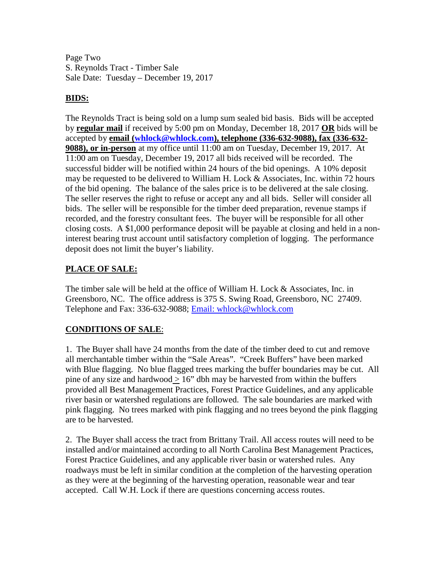Page Two S. Reynolds Tract - Timber Sale Sale Date: Tuesday – December 19, 2017

### **BIDS:**

The Reynolds Tract is being sold on a lump sum sealed bid basis. Bids will be accepted by **regular mail** if received by 5:00 pm on Monday, December 18, 2017 **OR** bids will be accepted by **email [\(whlock@whlock.com\)](mailto:whlock@whlock.com), telephone (336-632-9088), fax (336-632- 9088), or in-person** at my office until 11:00 am on Tuesday, December 19, 2017. At 11:00 am on Tuesday, December 19, 2017 all bids received will be recorded. The successful bidder will be notified within 24 hours of the bid openings. A 10% deposit may be requested to be delivered to William H. Lock & Associates, Inc. within 72 hours of the bid opening. The balance of the sales price is to be delivered at the sale closing. The seller reserves the right to refuse or accept any and all bids. Seller will consider all bids. The seller will be responsible for the timber deed preparation, revenue stamps if recorded, and the forestry consultant fees. The buyer will be responsible for all other closing costs. A \$1,000 performance deposit will be payable at closing and held in a noninterest bearing trust account until satisfactory completion of logging. The performance deposit does not limit the buyer's liability.

# **PLACE OF SALE:**

The timber sale will be held at the office of William H. Lock & Associates, Inc. in Greensboro, NC. The office address is 375 S. Swing Road, Greensboro, NC 27409. Telephone and Fax: 336-632-9088; [Email: whlock@whlock.com](mailto:Email:%20whlock@whlock.com) 

# **CONDITIONS OF SALE**:

1. The Buyer shall have 24 months from the date of the timber deed to cut and remove all merchantable timber within the "Sale Areas". "Creek Buffers" have been marked with Blue flagging. No blue flagged trees marking the buffer boundaries may be cut. All pine of any size and hardwood  $> 16$ " dbh may be harvested from within the buffers provided all Best Management Practices, Forest Practice Guidelines, and any applicable river basin or watershed regulations are followed. The sale boundaries are marked with pink flagging. No trees marked with pink flagging and no trees beyond the pink flagging are to be harvested.

2. The Buyer shall access the tract from Brittany Trail. All access routes will need to be installed and/or maintained according to all North Carolina Best Management Practices, Forest Practice Guidelines, and any applicable river basin or watershed rules. Any roadways must be left in similar condition at the completion of the harvesting operation as they were at the beginning of the harvesting operation, reasonable wear and tear accepted. Call W.H. Lock if there are questions concerning access routes.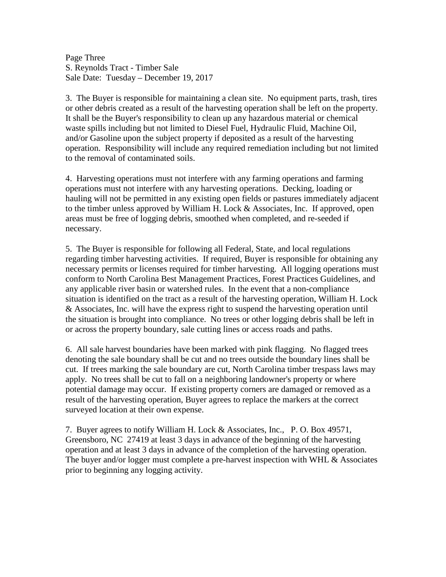Page Three S. Reynolds Tract - Timber Sale Sale Date: Tuesday – December 19, 2017

3. The Buyer is responsible for maintaining a clean site. No equipment parts, trash, tires or other debris created as a result of the harvesting operation shall be left on the property. It shall be the Buyer's responsibility to clean up any hazardous material or chemical waste spills including but not limited to Diesel Fuel, Hydraulic Fluid, Machine Oil, and/or Gasoline upon the subject property if deposited as a result of the harvesting operation. Responsibility will include any required remediation including but not limited to the removal of contaminated soils.

4. Harvesting operations must not interfere with any farming operations and farming operations must not interfere with any harvesting operations. Decking, loading or hauling will not be permitted in any existing open fields or pastures immediately adjacent to the timber unless approved by William H. Lock & Associates, Inc. If approved, open areas must be free of logging debris, smoothed when completed, and re-seeded if necessary.

5. The Buyer is responsible for following all Federal, State, and local regulations regarding timber harvesting activities. If required, Buyer is responsible for obtaining any necessary permits or licenses required for timber harvesting. All logging operations must conform to North Carolina Best Management Practices, Forest Practices Guidelines, and any applicable river basin or watershed rules. In the event that a non-compliance situation is identified on the tract as a result of the harvesting operation, William H. Lock & Associates, Inc. will have the express right to suspend the harvesting operation until the situation is brought into compliance. No trees or other logging debris shall be left in or across the property boundary, sale cutting lines or access roads and paths.

6. All sale harvest boundaries have been marked with pink flagging. No flagged trees denoting the sale boundary shall be cut and no trees outside the boundary lines shall be cut. If trees marking the sale boundary are cut, North Carolina timber trespass laws may apply. No trees shall be cut to fall on a neighboring landowner's property or where potential damage may occur. If existing property corners are damaged or removed as a result of the harvesting operation, Buyer agrees to replace the markers at the correct surveyed location at their own expense.

7. Buyer agrees to notify William H. Lock & Associates, Inc., P. O. Box 49571, Greensboro, NC 27419 at least 3 days in advance of the beginning of the harvesting operation and at least 3 days in advance of the completion of the harvesting operation. The buyer and/or logger must complete a pre-harvest inspection with WHL  $\&$  Associates prior to beginning any logging activity.